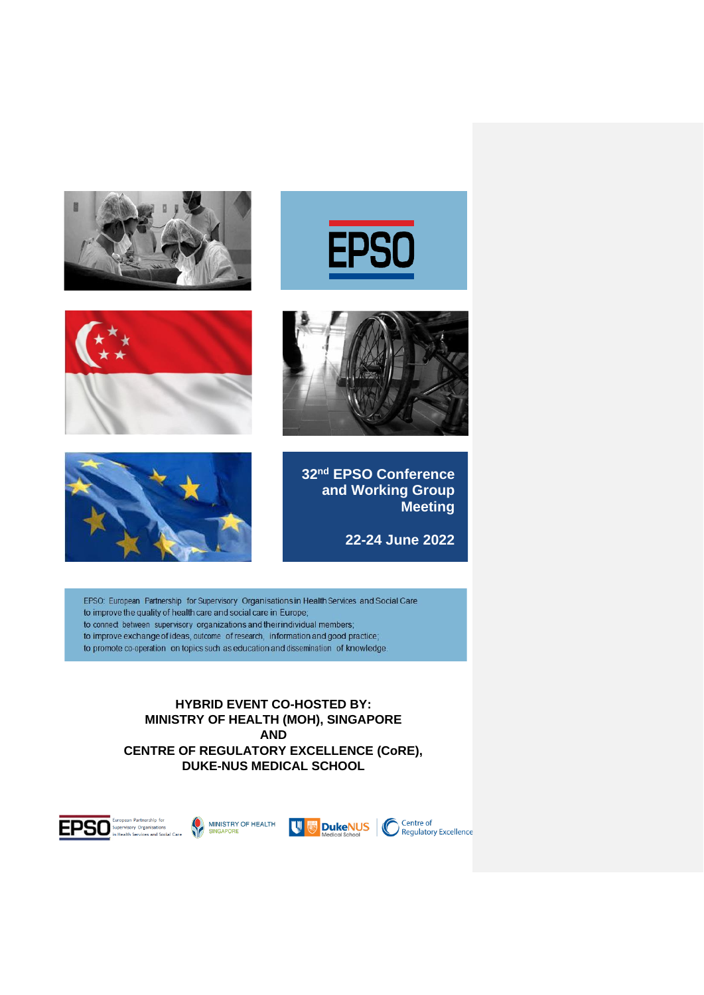









**32nd EPSO Conference and Working Group Meeting**

**22-24 June 2022**

EPSO: European Partnership for Supervisory Organisations in Health Services and Social Care to improve the quality of health care and social care in Europe; to connect between supervisory organizations and their individual members; to improve exchange of ideas, outcome of research, information and good practice; to promote co-operation on topics such as education and dissemination of knowledge.

> **HYBRID EVENT CO-HOSTED BY: MINISTRY OF HEALTH (MOH), SINGAPORE AND CENTRE OF REGULATORY EXCELLENCE (CoRE), DUKE-NUS MEDICAL SCHOOL**









Centre of<br>
Regulatory Excellence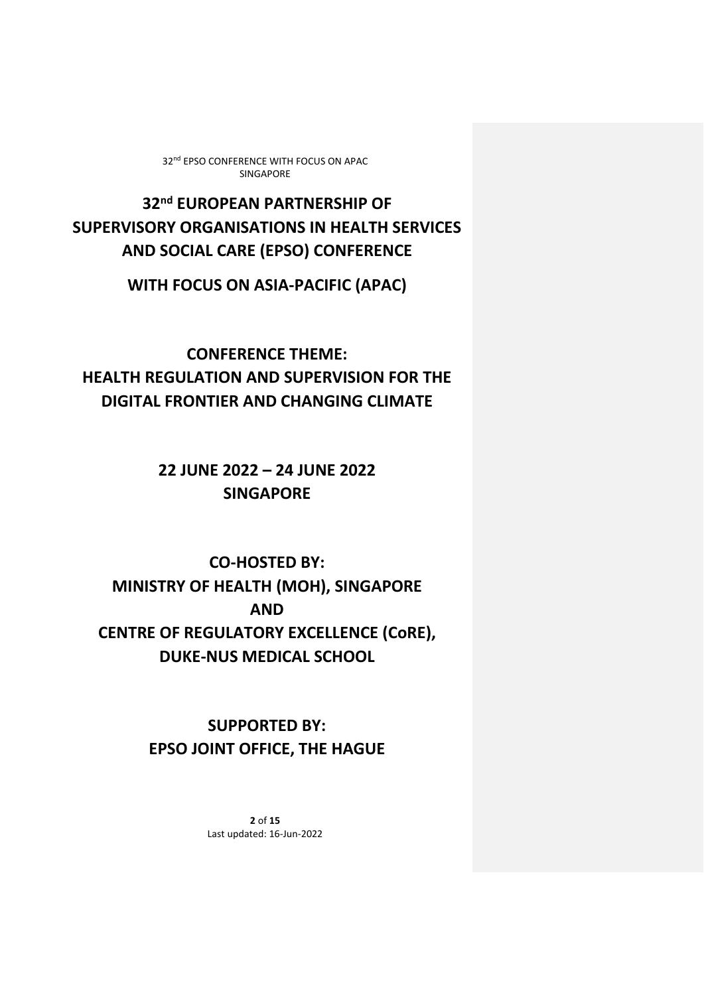**32nd EUROPEAN PARTNERSHIP OF SUPERVISORY ORGANISATIONS IN HEALTH SERVICES AND SOCIAL CARE (EPSO) CONFERENCE**

**WITH FOCUS ON ASIA-PACIFIC (APAC)**

**CONFERENCE THEME: HEALTH REGULATION AND SUPERVISION FOR THE DIGITAL FRONTIER AND CHANGING CLIMATE**

> **22 JUNE 2022 – 24 JUNE 2022 SINGAPORE**

**CO-HOSTED BY: MINISTRY OF HEALTH (MOH), SINGAPORE AND CENTRE OF REGULATORY EXCELLENCE (CoRE), DUKE-NUS MEDICAL SCHOOL**

> **SUPPORTED BY: EPSO JOINT OFFICE, THE HAGUE**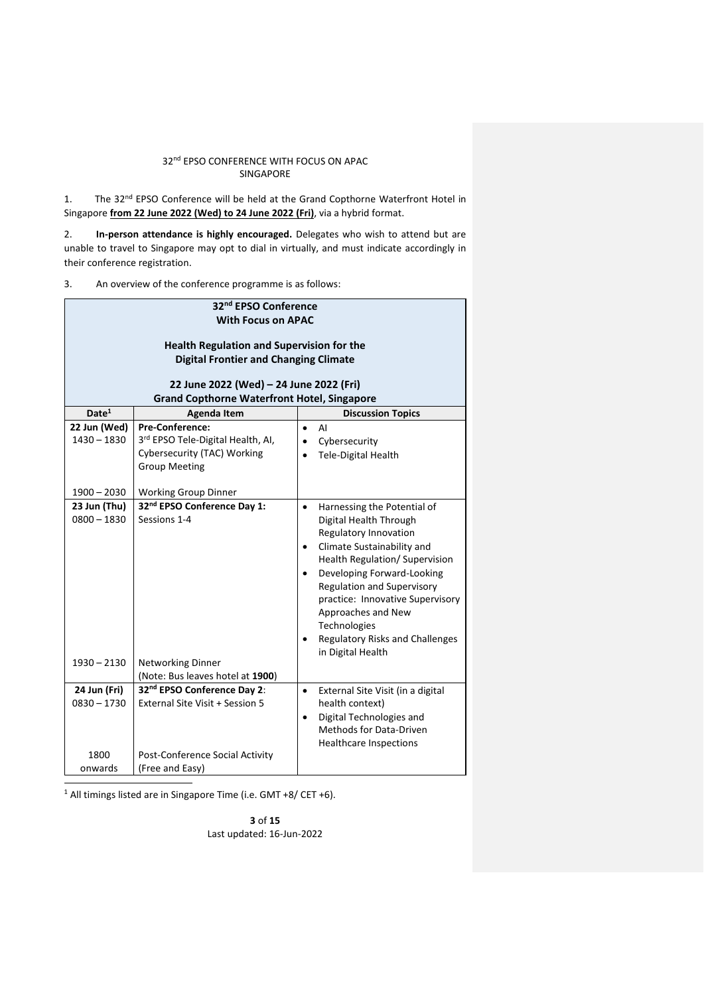1. The 32<sup>nd</sup> EPSO Conference will be held at the Grand Copthorne Waterfront Hotel in Singapore **from 22 June 2022 (Wed) to 24 June 2022 (Fri)**, via a hybrid format.

2. **In-person attendance is highly encouraged.** Delegates who wish to attend but are unable to travel to Singapore may opt to dial in virtually, and must indicate accordingly in their conference registration.

3. An overview of the conference programme is as follows:

| 32 <sup>nd</sup> EPSO Conference                                                                                              |                                                                                                                         |                                                                                                                                                                                                                                                                                                                                                                                                         |  |
|-------------------------------------------------------------------------------------------------------------------------------|-------------------------------------------------------------------------------------------------------------------------|---------------------------------------------------------------------------------------------------------------------------------------------------------------------------------------------------------------------------------------------------------------------------------------------------------------------------------------------------------------------------------------------------------|--|
| <b>With Focus on APAC</b><br><b>Health Regulation and Supervision for the</b><br><b>Digital Frontier and Changing Climate</b> |                                                                                                                         |                                                                                                                                                                                                                                                                                                                                                                                                         |  |
|                                                                                                                               | 22 June 2022 (Wed) - 24 June 2022 (Fri)<br><b>Grand Copthorne Waterfront Hotel, Singapore</b>                           |                                                                                                                                                                                                                                                                                                                                                                                                         |  |
| Date <sup>1</sup>                                                                                                             | <b>Agenda Item</b>                                                                                                      | <b>Discussion Topics</b>                                                                                                                                                                                                                                                                                                                                                                                |  |
| 22 Jun (Wed)<br>$1430 - 1830$                                                                                                 | <b>Pre-Conference:</b><br>3rd EPSO Tele-Digital Health, AI,<br>Cybersecurity (TAC) Working<br><b>Group Meeting</b>      | AI<br>$\bullet$<br>Cybersecurity<br>$\bullet$<br>Tele-Digital Health<br>$\bullet$                                                                                                                                                                                                                                                                                                                       |  |
| $1900 - 2030$                                                                                                                 | <b>Working Group Dinner</b>                                                                                             |                                                                                                                                                                                                                                                                                                                                                                                                         |  |
| 23 Jun (Thu)<br>$0800 - 1830$<br>$1930 - 2130$                                                                                | 32 <sup>nd</sup> EPSO Conference Day 1:<br>Sessions 1-4<br><b>Networking Dinner</b><br>(Note: Bus leaves hotel at 1900) | Harnessing the Potential of<br>$\bullet$<br>Digital Health Through<br>Regulatory Innovation<br>Climate Sustainability and<br>$\bullet$<br>Health Regulation/ Supervision<br>Developing Forward-Looking<br>$\bullet$<br><b>Regulation and Supervisory</b><br>practice: Innovative Supervisory<br>Approaches and New<br>Technologies<br>Regulatory Risks and Challenges<br>$\bullet$<br>in Digital Health |  |
| 24 Jun (Fri)<br>$0830 - 1730$                                                                                                 | 32nd EPSO Conference Day 2:<br>External Site Visit + Session 5                                                          | External Site Visit (in a digital<br>$\bullet$<br>health context)<br>Digital Technologies and<br>$\bullet$<br><b>Methods for Data-Driven</b><br><b>Healthcare Inspections</b>                                                                                                                                                                                                                           |  |
| 1800<br>onwards                                                                                                               | Post-Conference Social Activity<br>(Free and Easy)                                                                      |                                                                                                                                                                                                                                                                                                                                                                                                         |  |

<sup>1</sup> All timings listed are in Singapore Time (i.e. GMT +8/ CET +6).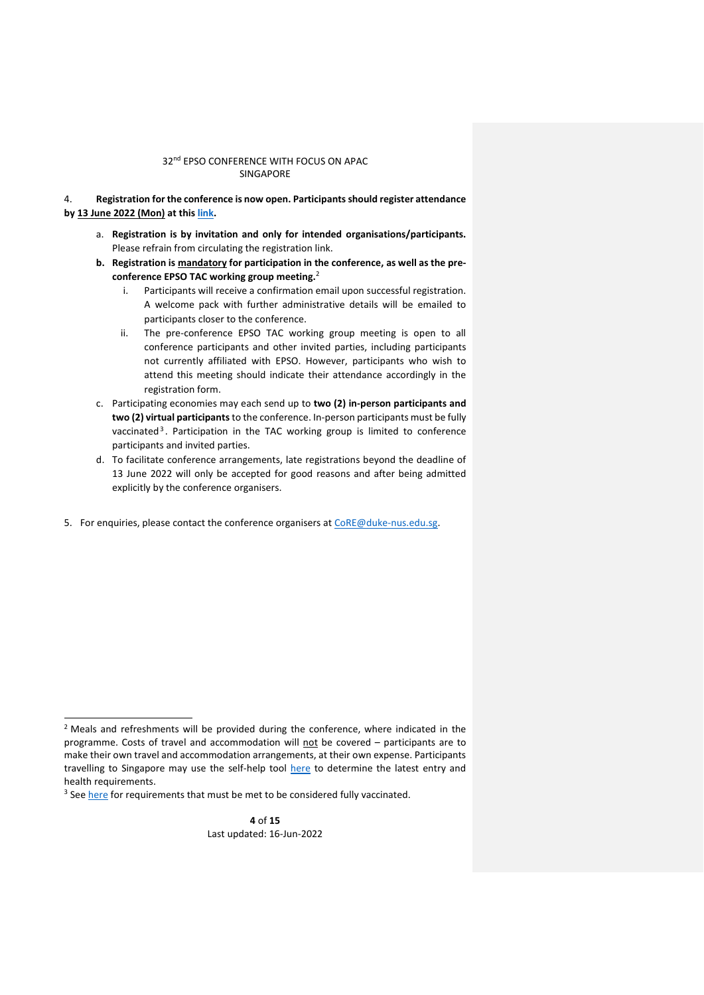4. **Registration for the conference is now open. Participants should register attendance by 13 June 2022 (Mon) at thi[s link.](https://tinyurl.com/EPSO2022)** 

- a. **Registration is by invitation and only for intended organisations/participants.**  Please refrain from circulating the registration link.
- **b. Registration is mandatory for participation in the conference, as well as the preconference EPSO TAC working group meeting.**<sup>2</sup>
	- i. Participants will receive a confirmation email upon successful registration. A welcome pack with further administrative details will be emailed to participants closer to the conference.
	- ii. The pre-conference EPSO TAC working group meeting is open to all conference participants and other invited parties, including participants not currently affiliated with EPSO. However, participants who wish to attend this meeting should indicate their attendance accordingly in the registration form.
- c. Participating economies may each send up to **two (2) in-person participants and two (2) virtual participants**to the conference. In-person participants must be fully vaccinated<sup>3</sup>. Participation in the TAC working group is limited to conference participants and invited parties.
- d. To facilitate conference arrangements, late registrations beyond the deadline of 13 June 2022 will only be accepted for good reasons and after being admitted explicitly by the conference organisers.
- 5. For enquiries, please contact the conference organisers at [CoRE@duke-nus.edu.sg.](mailto:CoRE@duke-nus.edu.sg)

<sup>&</sup>lt;sup>2</sup> Meals and refreshments will be provided during the conference, where indicated in the programme. Costs of travel and accommodation will not be covered - participants are to make their own travel and accommodation arrangements, at their own expense. Participants travelling to Singapore may use the self-help tool [here](https://safetravel.ica.gov.sg/arriving/overview#selfhelptool) to determine the latest entry and health requirements.

<sup>&</sup>lt;sup>3</sup> See [here](https://safetravel.ica.gov.sg/arriving/overview#vaccination) for requirements that must be met to be considered fully vaccinated.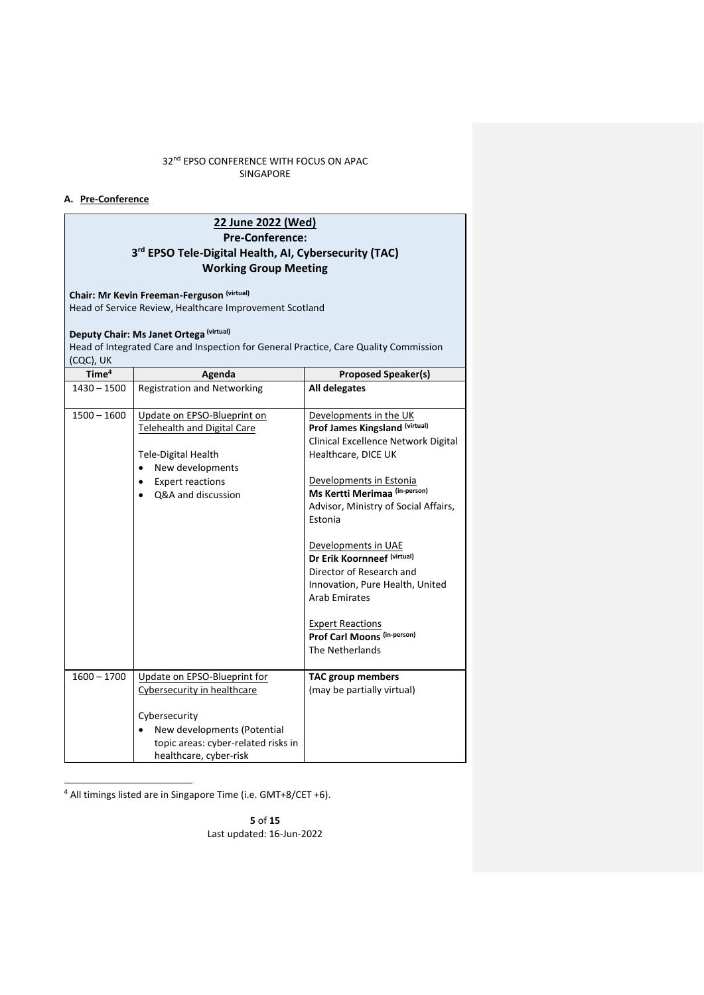# **A. Pre-Conference**

# **22 June 2022 (Wed) Pre-Conference: 3 rd EPSO Tele-Digital Health, AI, Cybersecurity (TAC) Working Group Meeting**

**Chair: Mr Kevin Freeman-Ferguson (virtual)**

Head of Service Review, Healthcare Improvement Scotland

# **Deputy Chair: Ms Janet Ortega (virtual)**

Head of Integrated Care and Inspection for General Practice, Care Quality Commission (CQC), UK

| Time <sup>4</sup> | Agenda                                                                                                                                                                                    | <b>Proposed Speaker(s)</b>                                                                                                                                                                                                                                                                                                                                                                                                                                      |
|-------------------|-------------------------------------------------------------------------------------------------------------------------------------------------------------------------------------------|-----------------------------------------------------------------------------------------------------------------------------------------------------------------------------------------------------------------------------------------------------------------------------------------------------------------------------------------------------------------------------------------------------------------------------------------------------------------|
| $1430 - 1500$     | <b>Registration and Networking</b>                                                                                                                                                        | All delegates                                                                                                                                                                                                                                                                                                                                                                                                                                                   |
| $1500 - 1600$     | Update on EPSO-Blueprint on<br><b>Telehealth and Digital Care</b><br><b>Tele-Digital Health</b><br>New developments<br><b>Expert reactions</b><br>$\bullet$<br>O&A and discussion         | Developments in the UK<br>Prof James Kingsland (virtual)<br>Clinical Excellence Network Digital<br>Healthcare, DICE UK<br>Developments in Estonia<br>Ms Kertti Merimaa (in-person)<br>Advisor, Ministry of Social Affairs,<br>Estonia<br>Developments in UAE<br>Dr Erik Koornneef (virtual)<br>Director of Research and<br>Innovation, Pure Health, United<br><b>Arab Emirates</b><br><b>Expert Reactions</b><br>Prof Carl Moons (in-person)<br>The Netherlands |
| $1600 - 1700$     | Update on EPSO-Blueprint for<br>Cybersecurity in healthcare<br>Cybersecurity<br>New developments (Potential<br>$\bullet$<br>topic areas: cyber-related risks in<br>healthcare, cyber-risk | <b>TAC group members</b><br>(may be partially virtual)                                                                                                                                                                                                                                                                                                                                                                                                          |

<sup>4</sup> All timings listed are in Singapore Time (i.e. GMT+8/CET +6).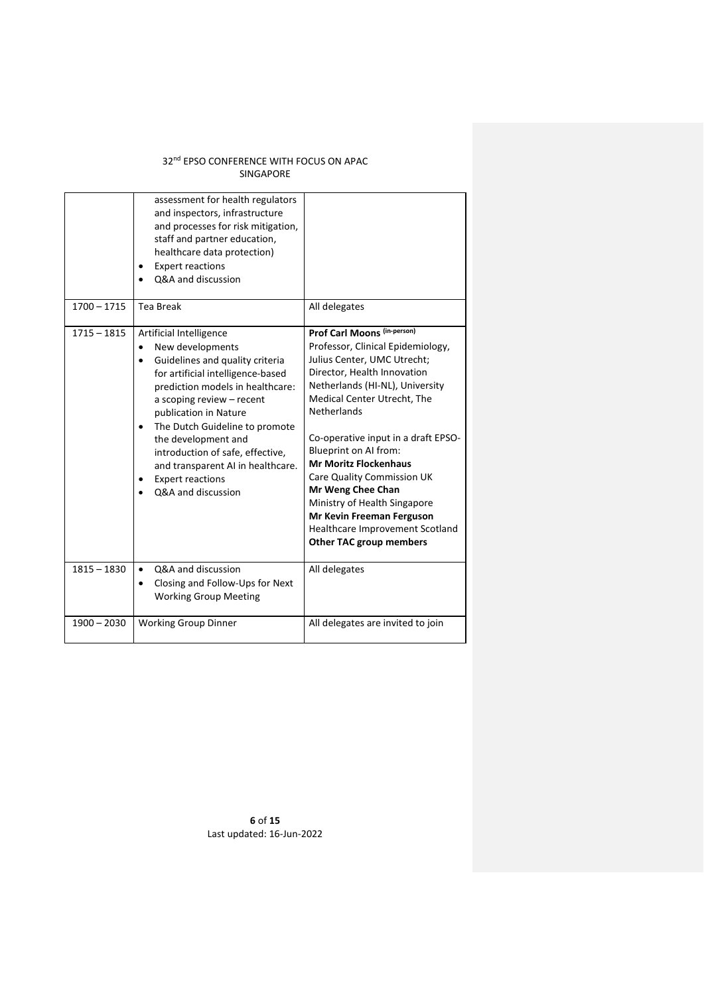|               | assessment for health regulators<br>and inspectors, infrastructure<br>and processes for risk mitigation,<br>staff and partner education,<br>healthcare data protection)<br><b>Expert reactions</b><br>Q&A and discussion                                                                                                                                                                                      |                                                                                                                                                                                                                                                                                                                                                                                                                                                                                                                           |
|---------------|---------------------------------------------------------------------------------------------------------------------------------------------------------------------------------------------------------------------------------------------------------------------------------------------------------------------------------------------------------------------------------------------------------------|---------------------------------------------------------------------------------------------------------------------------------------------------------------------------------------------------------------------------------------------------------------------------------------------------------------------------------------------------------------------------------------------------------------------------------------------------------------------------------------------------------------------------|
| $1700 - 1715$ | Tea Break                                                                                                                                                                                                                                                                                                                                                                                                     | All delegates                                                                                                                                                                                                                                                                                                                                                                                                                                                                                                             |
| $1715 - 1815$ | Artificial Intelligence<br>New developments<br>$\bullet$<br>Guidelines and quality criteria<br>for artificial intelligence-based<br>prediction models in healthcare:<br>a scoping review - recent<br>publication in Nature<br>The Dutch Guideline to promote<br>the development and<br>introduction of safe, effective,<br>and transparent AI in healthcare.<br><b>Expert reactions</b><br>Q&A and discussion | <b>Prof Carl Moons (in-person)</b><br>Professor, Clinical Epidemiology,<br>Julius Center, UMC Utrecht;<br>Director, Health Innovation<br>Netherlands (HI-NL), University<br>Medical Center Utrecht, The<br><b>Netherlands</b><br>Co-operative input in a draft EPSO-<br>Blueprint on AI from:<br><b>Mr Moritz Flockenhaus</b><br><b>Care Quality Commission UK</b><br>Mr Weng Chee Chan<br>Ministry of Health Singapore<br>Mr Kevin Freeman Ferguson<br>Healthcare Improvement Scotland<br><b>Other TAC group members</b> |
| $1815 - 1830$ | Q&A and discussion<br>$\bullet$<br>Closing and Follow-Ups for Next<br>$\bullet$<br><b>Working Group Meeting</b>                                                                                                                                                                                                                                                                                               | All delegates                                                                                                                                                                                                                                                                                                                                                                                                                                                                                                             |
| $1900 - 2030$ | <b>Working Group Dinner</b>                                                                                                                                                                                                                                                                                                                                                                                   | All delegates are invited to join                                                                                                                                                                                                                                                                                                                                                                                                                                                                                         |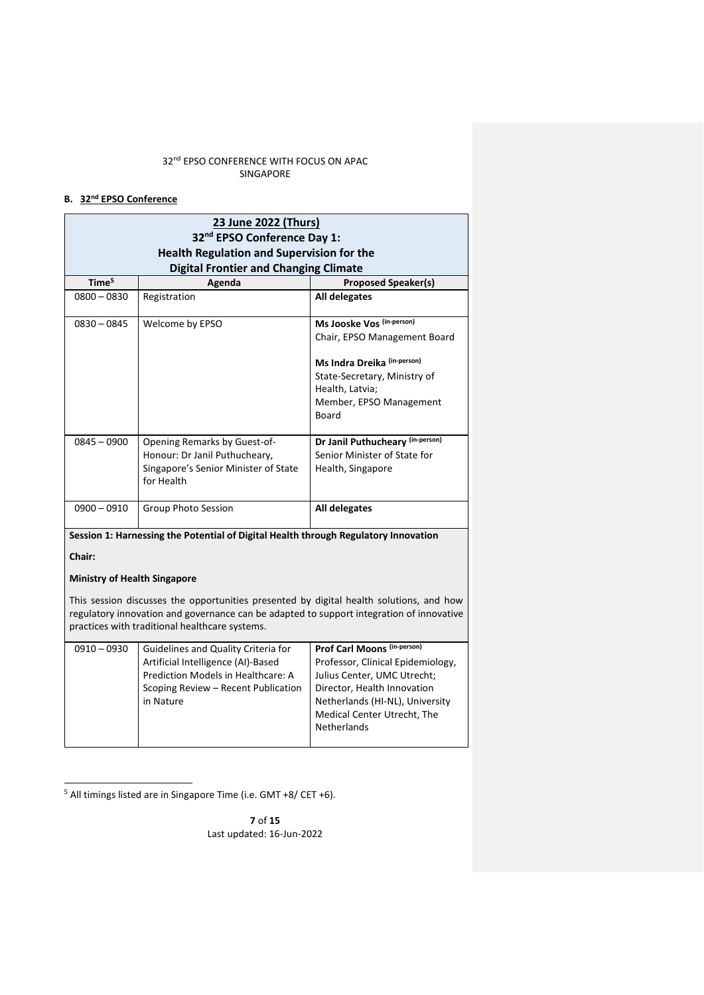# **B. 32nd EPSO Conference**

| Time <sup>5</sup> | <b>Digital Frontier and Changing Climate</b><br>Agenda                                                              | <b>Proposed Speaker(s)</b>                                                                                                                                                      |
|-------------------|---------------------------------------------------------------------------------------------------------------------|---------------------------------------------------------------------------------------------------------------------------------------------------------------------------------|
| $0800 - 0830$     | Registration                                                                                                        | All delegates                                                                                                                                                                   |
| $0830 - 0845$     | Welcome by EPSO                                                                                                     | Ms Jooske Vos (in-person)<br>Chair, EPSO Management Board<br>Ms Indra Dreika (in-person)<br>State-Secretary, Ministry of<br>Health, Latvia;<br>Member, EPSO Management<br>Board |
| $0845 - 0900$     | Opening Remarks by Guest-of-<br>Honour: Dr Janil Puthucheary,<br>Singapore's Senior Minister of State<br>for Health | Dr Janil Puthucheary (in-person)<br>Senior Minister of State for<br>Health, Singapore                                                                                           |
| $0900 - 0910$     | Group Photo Session                                                                                                 | All delegates                                                                                                                                                                   |

This session discusses the opportunities presented by digital health solutions, and how regulatory innovation and governance can be adapted to support integration of innovative practices with traditional healthcare systems.

| $0910 - 0930$ | Guidelines and Quality Criteria for | Prof Carl Moons (in-person)       |
|---------------|-------------------------------------|-----------------------------------|
|               | Artificial Intelligence (AI)-Based  | Professor, Clinical Epidemiology, |
|               | Prediction Models in Healthcare: A  | Julius Center, UMC Utrecht;       |
|               | Scoping Review - Recent Publication | Director, Health Innovation       |
|               | in Nature                           | Netherlands (HI-NL), University   |
|               |                                     | Medical Center Utrecht, The       |
|               |                                     | <b>Netherlands</b>                |
|               |                                     |                                   |

<sup>5</sup> All timings listed are in Singapore Time (i.e. GMT +8/ CET +6).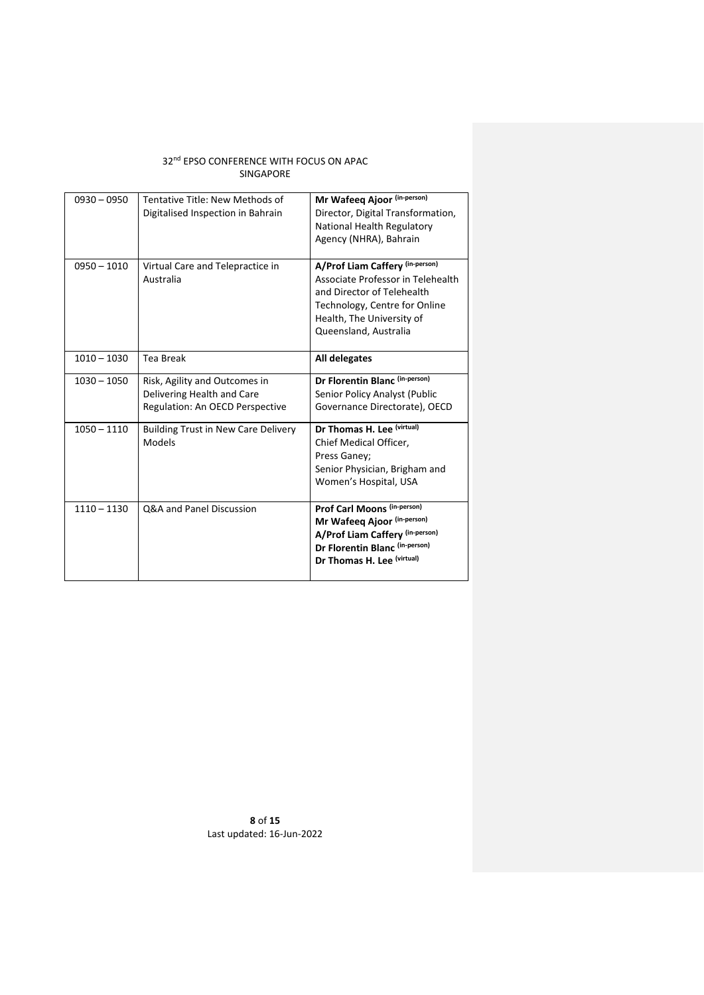| $0930 - 0950$ | Tentative Title: New Methods of<br>Digitalised Inspection in Bahrain                           | Mr Wafeeq Ajoor (in-person)<br>Director, Digital Transformation,<br>National Health Regulatory<br>Agency (NHRA), Bahrain                                                                  |  |
|---------------|------------------------------------------------------------------------------------------------|-------------------------------------------------------------------------------------------------------------------------------------------------------------------------------------------|--|
| $0950 - 1010$ | Virtual Care and Telepractice in<br>Australia                                                  | A/Prof Liam Caffery (in-person)<br>Associate Professor in Telehealth<br>and Director of Telehealth<br>Technology, Centre for Online<br>Health, The University of<br>Queensland, Australia |  |
| $1010 - 1030$ | Tea Break                                                                                      | All delegates                                                                                                                                                                             |  |
| $1030 - 1050$ | Risk, Agility and Outcomes in<br>Delivering Health and Care<br>Regulation: An OECD Perspective | Dr Florentin Blanc (in-person)<br>Senior Policy Analyst (Public<br>Governance Directorate), OECD                                                                                          |  |
| $1050 - 1110$ | <b>Building Trust in New Care Delivery</b><br>Models                                           | Dr Thomas H. Lee (virtual)<br>Chief Medical Officer,<br>Press Ganey;<br>Senior Physician, Brigham and<br>Women's Hospital, USA                                                            |  |
| $1110 - 1130$ | Q&A and Panel Discussion                                                                       | Prof Carl Moons (in-person)<br>Mr Wafeeq Ajoor (in-person)<br>A/Prof Liam Caffery (in-person)<br>Dr Florentin Blanc (in-person)<br>Dr Thomas H. Lee (virtual)                             |  |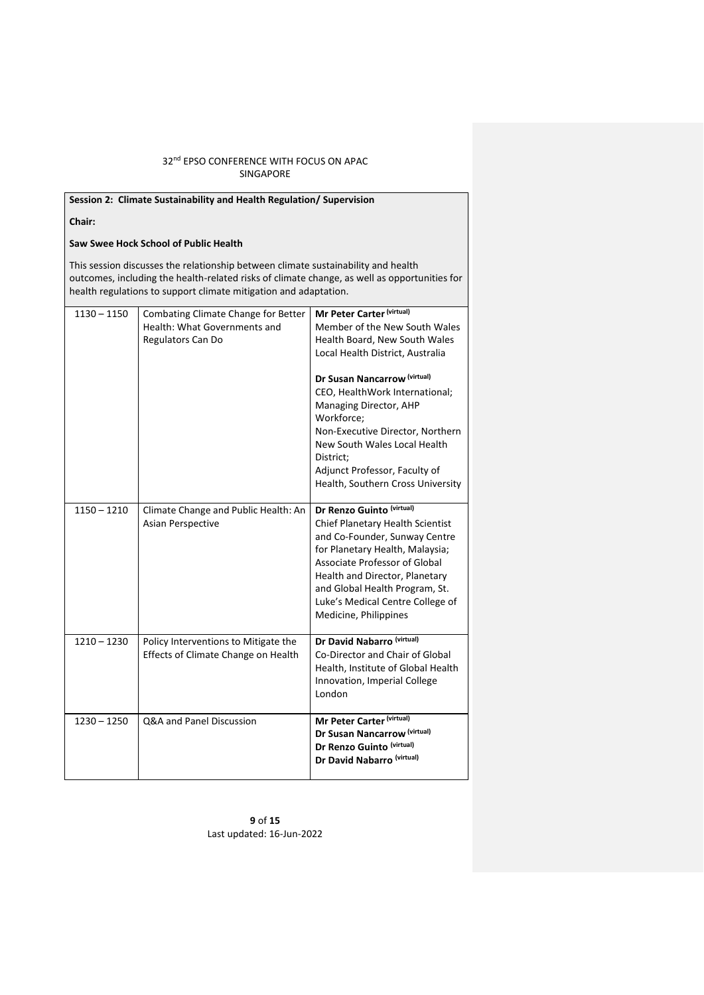| Session 2: Climate Sustainability and Health Regulation/ Supervision                                                                                                                                                                                  |                                                                                          |                                                                                                                                                                                                                                                                                                                                                                                                  |  |  |
|-------------------------------------------------------------------------------------------------------------------------------------------------------------------------------------------------------------------------------------------------------|------------------------------------------------------------------------------------------|--------------------------------------------------------------------------------------------------------------------------------------------------------------------------------------------------------------------------------------------------------------------------------------------------------------------------------------------------------------------------------------------------|--|--|
| Chair:                                                                                                                                                                                                                                                |                                                                                          |                                                                                                                                                                                                                                                                                                                                                                                                  |  |  |
|                                                                                                                                                                                                                                                       | Saw Swee Hock School of Public Health                                                    |                                                                                                                                                                                                                                                                                                                                                                                                  |  |  |
| This session discusses the relationship between climate sustainability and health<br>outcomes, including the health-related risks of climate change, as well as opportunities for<br>health regulations to support climate mitigation and adaptation. |                                                                                          |                                                                                                                                                                                                                                                                                                                                                                                                  |  |  |
| $1130 - 1150$                                                                                                                                                                                                                                         | Combating Climate Change for Better<br>Health: What Governments and<br>Regulators Can Do | Mr Peter Carter (virtual)<br>Member of the New South Wales<br>Health Board, New South Wales<br>Local Health District, Australia<br>Dr Susan Nancarrow (virtual)<br>CEO, HealthWork International;<br>Managing Director, AHP<br>Workforce;<br>Non-Executive Director, Northern<br>New South Wales Local Health<br>District:<br>Adjunct Professor, Faculty of<br>Health, Southern Cross University |  |  |
| $1150 - 1210$                                                                                                                                                                                                                                         | Climate Change and Public Health: An<br>Asian Perspective                                | Dr Renzo Guinto (virtual)<br>Chief Planetary Health Scientist<br>and Co-Founder, Sunway Centre<br>for Planetary Health, Malaysia;<br>Associate Professor of Global<br>Health and Director, Planetary<br>and Global Health Program, St.<br>Luke's Medical Centre College of<br>Medicine, Philippines                                                                                              |  |  |
| $1210 - 1230$                                                                                                                                                                                                                                         | Policy Interventions to Mitigate the<br>Effects of Climate Change on Health              | Dr David Nabarro (virtual)<br>Co-Director and Chair of Global<br>Health, Institute of Global Health<br>Innovation, Imperial College<br>London                                                                                                                                                                                                                                                    |  |  |
| $1230 - 1250$                                                                                                                                                                                                                                         | Q&A and Panel Discussion                                                                 | Mr Peter Carter (virtual)<br>Dr Susan Nancarrow (virtual)<br>Dr Renzo Guinto (virtual)<br>Dr David Nabarro (virtual)                                                                                                                                                                                                                                                                             |  |  |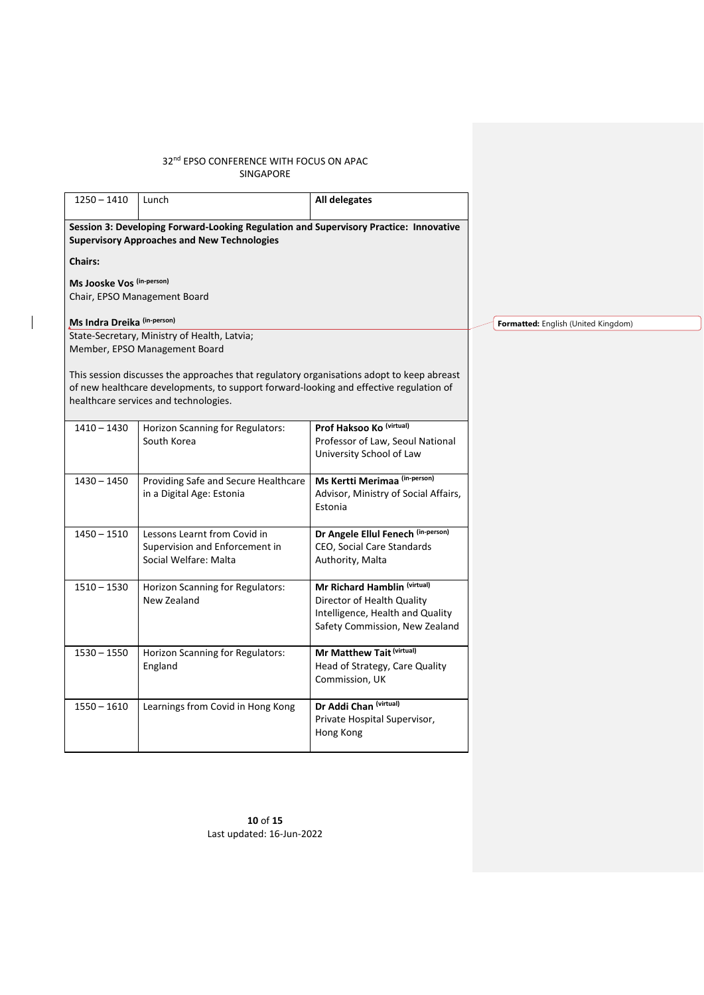$\overline{\phantom{a}}$ 

| $1250 - 1410$               | Lunch                                                                                                                                                                                                                        | All delegates                                                                                                                    |                       |
|-----------------------------|------------------------------------------------------------------------------------------------------------------------------------------------------------------------------------------------------------------------------|----------------------------------------------------------------------------------------------------------------------------------|-----------------------|
|                             | Session 3: Developing Forward-Looking Regulation and Supervisory Practice: Innovative<br><b>Supervisory Approaches and New Technologies</b>                                                                                  |                                                                                                                                  |                       |
| <b>Chairs:</b>              |                                                                                                                                                                                                                              |                                                                                                                                  |                       |
| Ms Jooske Vos (in-person)   |                                                                                                                                                                                                                              |                                                                                                                                  |                       |
|                             | Chair, EPSO Management Board                                                                                                                                                                                                 |                                                                                                                                  |                       |
| Ms Indra Dreika (in-person) |                                                                                                                                                                                                                              |                                                                                                                                  | Formatted: English (U |
|                             | State-Secretary, Ministry of Health, Latvia;<br>Member, EPSO Management Board                                                                                                                                                |                                                                                                                                  |                       |
|                             | This session discusses the approaches that regulatory organisations adopt to keep abreast<br>of new healthcare developments, to support forward-looking and effective regulation of<br>healthcare services and technologies. |                                                                                                                                  |                       |
| 1410 - 1430                 | Horizon Scanning for Regulators:<br>South Korea                                                                                                                                                                              | Prof Haksoo Ko (virtual)<br>Professor of Law, Seoul National<br>University School of Law                                         |                       |
| $1430 - 1450$               | Providing Safe and Secure Healthcare<br>in a Digital Age: Estonia                                                                                                                                                            | Ms Kertti Merimaa (in-person)<br>Advisor, Ministry of Social Affairs,<br>Estonia                                                 |                       |
| $1450 - 1510$               | Lessons Learnt from Covid in<br>Supervision and Enforcement in<br>Social Welfare: Malta                                                                                                                                      | Dr Angele Ellul Fenech (in-person)<br>CEO, Social Care Standards<br>Authority, Malta                                             |                       |
| $1510 - 1530$               | Horizon Scanning for Regulators:<br>New Zealand                                                                                                                                                                              | Mr Richard Hamblin (virtual)<br>Director of Health Quality<br>Intelligence, Health and Quality<br>Safety Commission, New Zealand |                       |
| $1530 - 1550$               | Horizon Scanning for Regulators:<br>England                                                                                                                                                                                  | Mr Matthew Tait (virtual)<br>Head of Strategy, Care Quality<br>Commission, UK                                                    |                       |
| $1550 - 1610$               | Learnings from Covid in Hong Kong                                                                                                                                                                                            | Dr Addi Chan (virtual)<br>Private Hospital Supervisor,<br>Hong Kong                                                              |                       |

**10** of **15** Last updated: 16-Jun-2022 **Finited Kingdom)**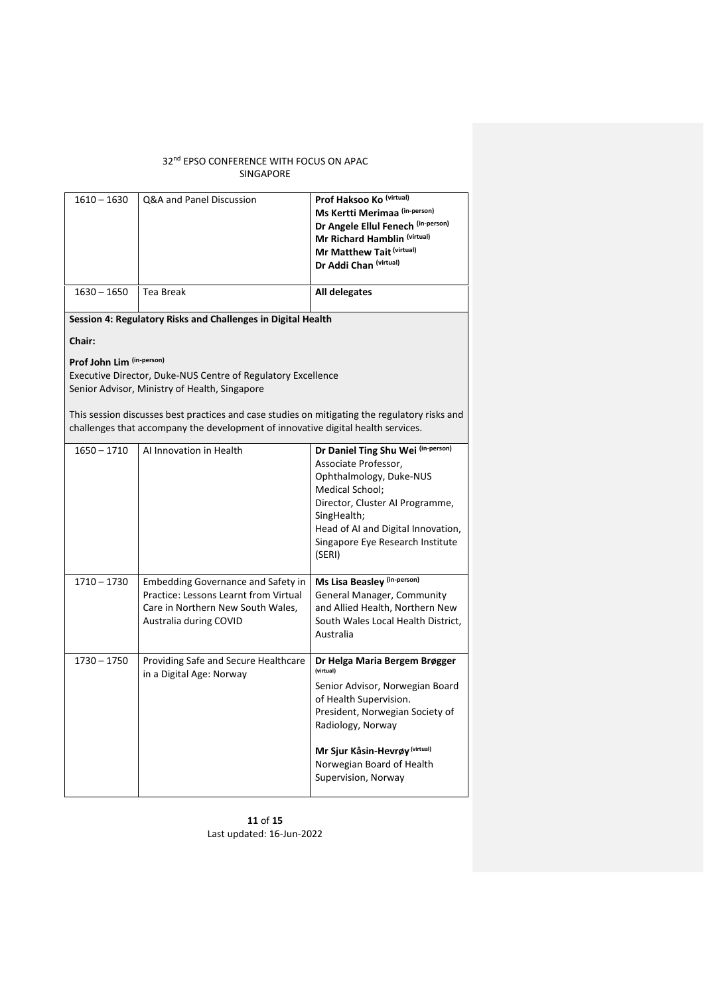| $1610 - 1630$ | Q&A and Panel Discussion | Prof Haksoo Ko (virtual)           |
|---------------|--------------------------|------------------------------------|
|               |                          | Ms Kertti Merimaa (in-person)      |
|               |                          | Dr Angele Ellul Fenech (in-person) |
|               |                          | Mr Richard Hamblin (virtual)       |
|               |                          | Mr Matthew Tait (virtual)          |
|               |                          | Dr Addi Chan (virtual)             |
|               |                          |                                    |
| $1630 - 1650$ | Tea Break                | All delegates                      |
|               |                          |                                    |

**Session 4: Regulatory Risks and Challenges in Digital Health**

**Chair:** 

**Prof John Lim (in-person)**

Executive Director, Duke-NUS Centre of Regulatory Excellence Senior Advisor, Ministry of Health, Singapore

This session discusses best practices and case studies on mitigating the regulatory risks and challenges that accompany the development of innovative digital health services.

| $1650 - 1710$ | Al Innovation in Health                                                                                                                    | Dr Daniel Ting Shu Wei (in-person)<br>Associate Professor,<br>Ophthalmology, Duke-NUS<br>Medical School;<br>Director, Cluster AI Programme,<br>SingHealth;<br>Head of AI and Digital Innovation,<br>Singapore Eye Research Institute<br>(SERI)        |
|---------------|--------------------------------------------------------------------------------------------------------------------------------------------|-------------------------------------------------------------------------------------------------------------------------------------------------------------------------------------------------------------------------------------------------------|
| $1710 - 1730$ | Embedding Governance and Safety in<br>Practice: Lessons Learnt from Virtual<br>Care in Northern New South Wales,<br>Australia during COVID | Ms Lisa Beasley (in-person)<br>General Manager, Community<br>and Allied Health, Northern New<br>South Wales Local Health District,<br>Australia                                                                                                       |
| $1730 - 1750$ | Providing Safe and Secure Healthcare<br>in a Digital Age: Norway                                                                           | Dr Helga Maria Bergem Brøgger<br>(virtual)<br>Senior Advisor, Norwegian Board<br>of Health Supervision.<br>President, Norwegian Society of<br>Radiology, Norway<br>Mr Sjur Kåsin-Hevrøy (virtual)<br>Norwegian Board of Health<br>Supervision, Norway |

**11** of **15** Last updated: 16-Jun-2022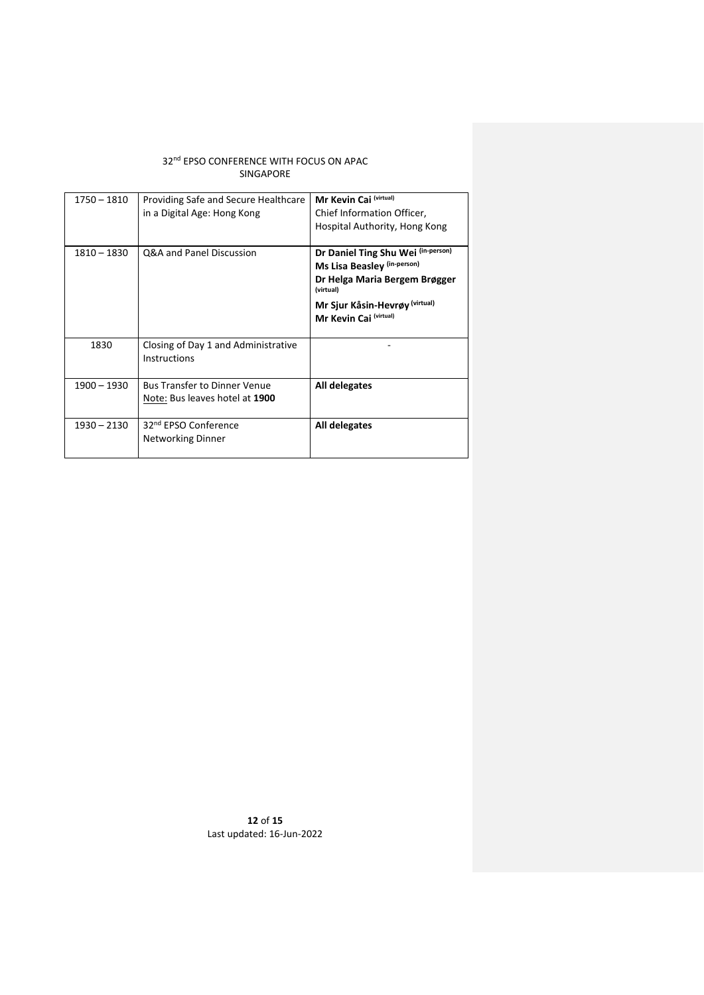| 1750 – 1810   | Providing Safe and Secure Healthcare<br>in a Digital Age: Hong Kong   | Mr Kevin Cai (virtual)<br>Chief Information Officer,<br>Hospital Authority, Hong Kong                                                                                       |  |
|---------------|-----------------------------------------------------------------------|-----------------------------------------------------------------------------------------------------------------------------------------------------------------------------|--|
| 1810 - 1830   | Q&A and Panel Discussion                                              | Dr Daniel Ting Shu Wei (in-person)<br>Ms Lisa Beasley (in-person)<br>Dr Helga Maria Bergem Brøgger<br>(virtual)<br>Mr Sjur Kåsin-Hevrøy (virtual)<br>Mr Kevin Cai (virtual) |  |
| 1830          | Closing of Day 1 and Administrative<br>Instructions                   |                                                                                                                                                                             |  |
| $1900 - 1930$ | <b>Bus Transfer to Dinner Venue</b><br>Note: Bus leaves hotel at 1900 | All delegates                                                                                                                                                               |  |
| 1930 - 2130   | 32 <sup>nd</sup> EPSO Conference<br><b>Networking Dinner</b>          | All delegates                                                                                                                                                               |  |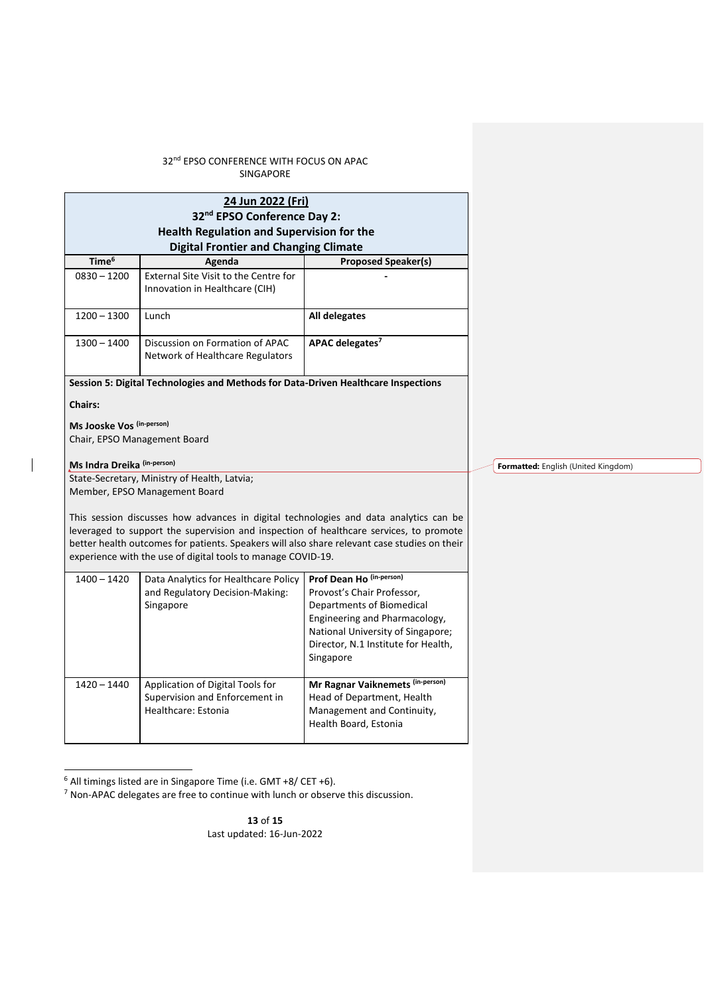|                             | 24 Jun 2022 (Fri)<br>32 <sup>nd</sup> EPSO Conference Day 2:<br><b>Health Regulation and Supervision for the</b>                                                                                                                                                                                                                                |                                                            |                                     |
|-----------------------------|-------------------------------------------------------------------------------------------------------------------------------------------------------------------------------------------------------------------------------------------------------------------------------------------------------------------------------------------------|------------------------------------------------------------|-------------------------------------|
| Time <sup>6</sup>           | <b>Digital Frontier and Changing Climate</b>                                                                                                                                                                                                                                                                                                    |                                                            |                                     |
| $0830 - 1200$               | Agenda<br>External Site Visit to the Centre for                                                                                                                                                                                                                                                                                                 | <b>Proposed Speaker(s)</b>                                 |                                     |
|                             | Innovation in Healthcare (CIH)                                                                                                                                                                                                                                                                                                                  |                                                            |                                     |
| $1200 - 1300$               | Lunch                                                                                                                                                                                                                                                                                                                                           | All delegates                                              |                                     |
| $1300 - 1400$               | Discussion on Formation of APAC<br>Network of Healthcare Regulators                                                                                                                                                                                                                                                                             | APAC delegates <sup>7</sup>                                |                                     |
|                             | Session 5: Digital Technologies and Methods for Data-Driven Healthcare Inspections                                                                                                                                                                                                                                                              |                                                            |                                     |
| <b>Chairs:</b>              |                                                                                                                                                                                                                                                                                                                                                 |                                                            |                                     |
| Ms Jooske Vos (in-person)   |                                                                                                                                                                                                                                                                                                                                                 |                                                            |                                     |
|                             | Chair, EPSO Management Board                                                                                                                                                                                                                                                                                                                    |                                                            |                                     |
| Ms Indra Dreika (in-person) |                                                                                                                                                                                                                                                                                                                                                 |                                                            | Formatted: English (United Kingdom) |
|                             | State-Secretary, Ministry of Health, Latvia;                                                                                                                                                                                                                                                                                                    |                                                            |                                     |
|                             | Member, EPSO Management Board                                                                                                                                                                                                                                                                                                                   |                                                            |                                     |
|                             | This session discusses how advances in digital technologies and data analytics can be<br>leveraged to support the supervision and inspection of healthcare services, to promote<br>better health outcomes for patients. Speakers will also share relevant case studies on their<br>experience with the use of digital tools to manage COVID-19. |                                                            |                                     |
| $1400 - 1420$               | Data Analytics for Healthcare Policy                                                                                                                                                                                                                                                                                                            | Prof Dean Ho (in-person)                                   |                                     |
|                             | and Regulatory Decision-Making:                                                                                                                                                                                                                                                                                                                 | Provost's Chair Professor,                                 |                                     |
|                             | Singapore                                                                                                                                                                                                                                                                                                                                       | Departments of Biomedical<br>Engineering and Pharmacology, |                                     |
|                             |                                                                                                                                                                                                                                                                                                                                                 | National University of Singapore;                          |                                     |
|                             |                                                                                                                                                                                                                                                                                                                                                 | Director, N.1 Institute for Health,                        |                                     |
|                             |                                                                                                                                                                                                                                                                                                                                                 | Singapore                                                  |                                     |
| $1420 - 1440$               | Application of Digital Tools for                                                                                                                                                                                                                                                                                                                | Mr Ragnar Vaiknemets (in-person)                           |                                     |
|                             | Supervision and Enforcement in                                                                                                                                                                                                                                                                                                                  | Head of Department, Health                                 |                                     |
|                             | Healthcare: Estonia                                                                                                                                                                                                                                                                                                                             | Management and Continuity,<br>Health Board, Estonia        |                                     |
|                             |                                                                                                                                                                                                                                                                                                                                                 |                                                            |                                     |

<sup>6</sup> All timings listed are in Singapore Time (i.e. GMT +8/ CET +6).

 $\overline{\phantom{a}}$ 

<sup>7</sup> Non-APAC delegates are free to continue with lunch or observe this discussion.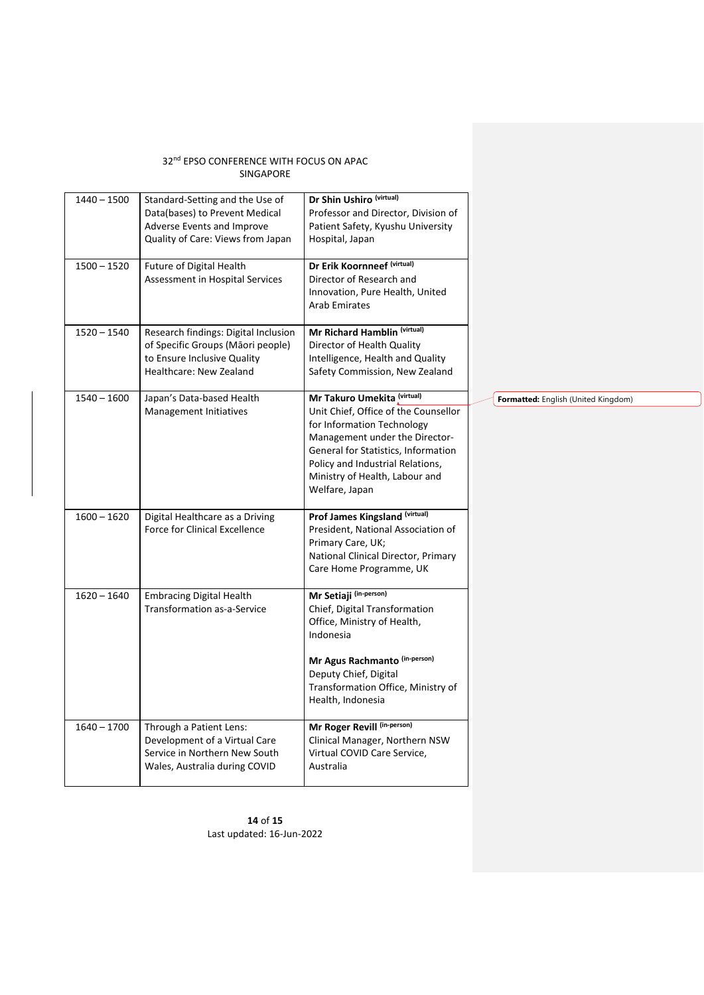| $1440 - 1500$ | Standard-Setting and the Use of<br>Data(bases) to Prevent Medical<br>Adverse Events and Improve<br>Quality of Care: Views from Japan | Dr Shin Ushiro (virtual)<br>Professor and Director, Division of<br>Patient Safety, Kyushu University<br>Hospital, Japan                                                                                                                                            |                                     |
|---------------|--------------------------------------------------------------------------------------------------------------------------------------|--------------------------------------------------------------------------------------------------------------------------------------------------------------------------------------------------------------------------------------------------------------------|-------------------------------------|
| $1500 - 1520$ | Future of Digital Health<br>Assessment in Hospital Services                                                                          | Dr Erik Koornneef (virtual)<br>Director of Research and<br>Innovation, Pure Health, United<br><b>Arab Emirates</b>                                                                                                                                                 |                                     |
| $1520 - 1540$ | Research findings: Digital Inclusion<br>of Specific Groups (Māori people)<br>to Ensure Inclusive Quality<br>Healthcare: New Zealand  | Mr Richard Hamblin (virtual)<br>Director of Health Quality<br>Intelligence, Health and Quality<br>Safety Commission, New Zealand                                                                                                                                   |                                     |
| $1540 - 1600$ | Japan's Data-based Health<br>Management Initiatives                                                                                  | Mr Takuro Umekita (virtual)<br>Unit Chief, Office of the Counsellor<br>for Information Technology<br>Management under the Director-<br>General for Statistics, Information<br>Policy and Industrial Relations,<br>Ministry of Health, Labour and<br>Welfare, Japan | Formatted: English (United Kingdom) |
| $1600 - 1620$ | Digital Healthcare as a Driving<br>Force for Clinical Excellence                                                                     | Prof James Kingsland (virtual)<br>President, National Association of<br>Primary Care, UK;<br>National Clinical Director, Primary<br>Care Home Programme, UK                                                                                                        |                                     |
| $1620 - 1640$ | <b>Embracing Digital Health</b><br>Transformation as-a-Service                                                                       | Mr Setiaji (in-person)<br>Chief, Digital Transformation<br>Office, Ministry of Health,<br>Indonesia<br>Mr Agus Rachmanto (in-person)<br>Deputy Chief, Digital<br>Transformation Office, Ministry of<br>Health, Indonesia                                           |                                     |
| $1640 - 1700$ | Through a Patient Lens:<br>Development of a Virtual Care<br>Service in Northern New South<br>Wales, Australia during COVID           | Mr Roger Revill (in-person)<br>Clinical Manager, Northern NSW<br>Virtual COVID Care Service,<br>Australia                                                                                                                                                          |                                     |